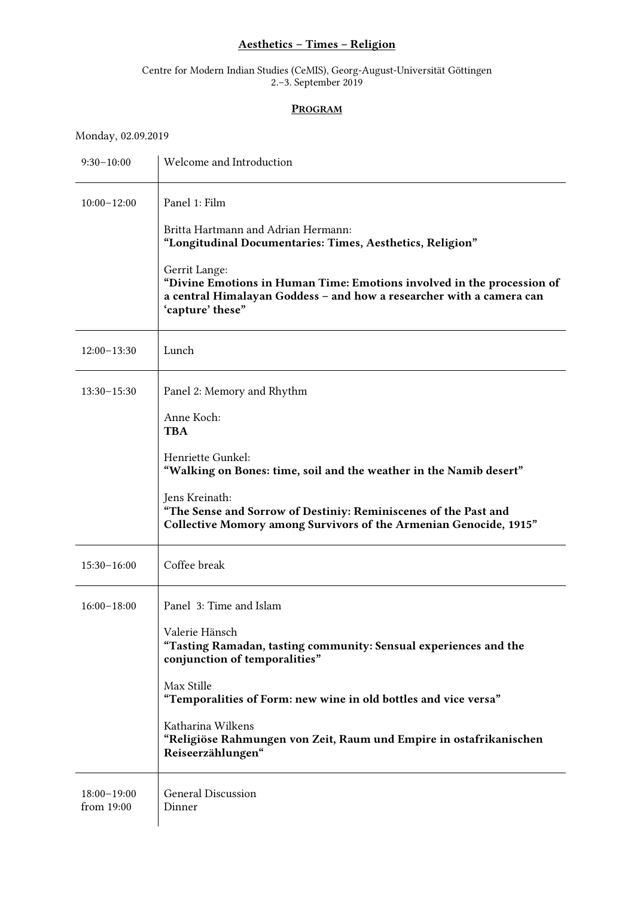## Aesthetics – Times – Religion

## Centre for Modern Indian Studies (CeMIS), Georg-August-Universität Göttingen 2.–3. September 2019

## PROGRAM

Monday, 02.09.2019

| $9:30-10:00$                | Welcome and Introduction                                                                                                                                                            |
|-----------------------------|-------------------------------------------------------------------------------------------------------------------------------------------------------------------------------------|
| $10:00 - 12:00$             | Panel 1: Film                                                                                                                                                                       |
|                             | Britta Hartmann and Adrian Hermann:<br>"Longitudinal Documentaries: Times, Aesthetics, Religion"                                                                                    |
|                             | Gerrit Lange:<br>"Divine Emotions in Human Time: Emotions involved in the procession of<br>a central Himalayan Goddess - and how a researcher with a camera can<br>'capture' these" |
| $12:00-13:30$               | Lunch                                                                                                                                                                               |
| $13:30 - 15:30$             | Panel 2: Memory and Rhythm                                                                                                                                                          |
|                             | Anne Koch:<br><b>TBA</b>                                                                                                                                                            |
|                             | Henriette Gunkel:<br>"Walking on Bones: time, soil and the weather in the Namib desert"                                                                                             |
|                             | Jens Kreinath:<br>"The Sense and Sorrow of Destiniy: Reminiscenes of the Past and<br>Collective Momory among Survivors of the Armenian Genocide, 1915"                              |
| $15:30 - 16:00$             | Coffee break                                                                                                                                                                        |
| $16:00-18:00$               | Panel 3: Time and Islam                                                                                                                                                             |
|                             | Valerie Hänsch<br>"Tasting Ramadan, tasting community: Sensual experiences and the<br>conjunction of temporalities"                                                                 |
|                             | Max Stille<br>"Temporalities of Form: new wine in old bottles and vice versa"                                                                                                       |
|                             | Katharina Wilkens<br>"Religiöse Rahmungen von Zeit, Raum und Empire in ostafrikanischen<br>Reiseerzählungen"                                                                        |
| $18:00-19:00$<br>from 19:00 | <b>General Discussion</b><br>Dinner                                                                                                                                                 |